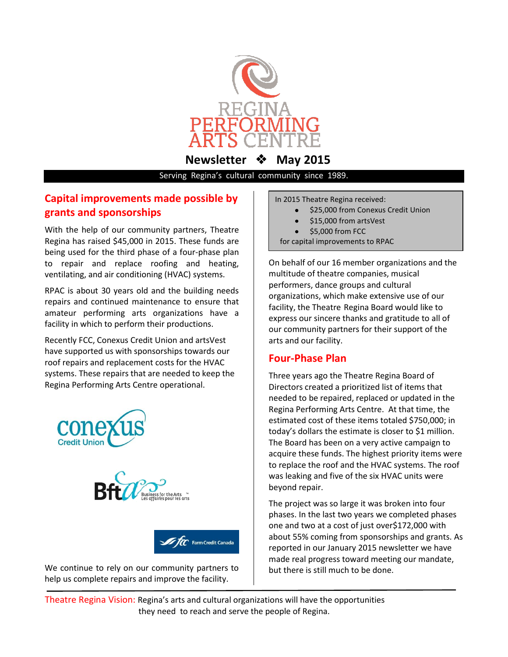

**Newsletter**  $\cdot$  **May 2015** 

Serving Regina's cultural community since 1989.

# **Capital improvements made possible by grants and sponsorships**

With the help of our community partners, Theatre Regina has raised \$45,000 in 2015. These funds are being used for the third phase of a four-phase plan to repair and replace roofing and heating, ventilating, and air conditioning (HVAC) systems.

RPAC is about 30 years old and the building needs repairs and continued maintenance to ensure that amateur performing arts organizations have a facility in which to perform their productions.

Recently FCC, Conexus Credit Union and artsVest have supported us with sponsorships towards our roof repairs and replacement costs for the HVAC systems. These repairs that are needed to keep the Regina Performing Arts Centre operational.







We continue to rely on our community partners to help us complete repairs and improve the facility.

In 2015 Theatre Regina received:

- \$25,000 from Conexus Credit Union
- \$15,000 from artsVest
- \$5,000 from FCC
- for capital improvements to RPAC

On behalf of our 16 member organizations and the multitude of theatre companies, musical performers, dance groups and cultural organizations, which make extensive use of our facility, the Theatre Regina Board would like to express our sincere thanks and gratitude to all of our community partners for their support of the arts and our facility.

# **Four-Phase Plan**

Three years ago the Theatre Regina Board of Directors created a prioritized list of items that needed to be repaired, replaced or updated in the Regina Performing Arts Centre. At that time, the estimated cost of these items totaled \$750,000; in today's dollars the estimate is closer to \$1 million. The Board has been on a very active campaign to acquire these funds. The highest priority items were to replace the roof and the HVAC systems. The roof was leaking and five of the six HVAC units were beyond repair.

The project was so large it was broken into four phases. In the last two years we completed phases one and two at a cost of just over\$172,000 with about 55% coming from sponsorships and grants. As reported in our January 2015 newsletter we have made real progress toward meeting our mandate, but there is still much to be done.

Theatre Regina Vision: Regina's arts and cultural organizations will have the opportunities they need to reach and serve the people of Regina.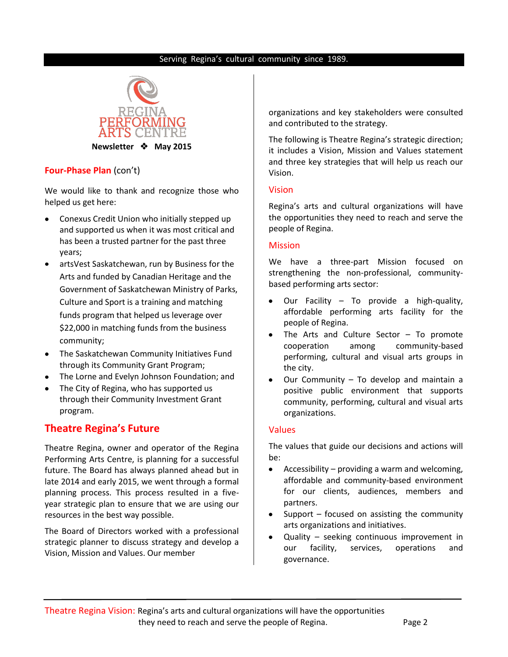## Serving Regina's cultural community since 1989.



## **Four-Phase Plan** (con't)

We would like to thank and recognize those who helped us get here:

- Conexus Credit Union who initially stepped up and supported us when it was most critical and has been a trusted partner for the past three years;
- artsVest Saskatchewan, run by Business for the Arts and funded by Canadian Heritage and the Government of Saskatchewan Ministry of Parks, Culture and Sport is a training and matching funds program that helped us leverage over \$22,000 in matching funds from the business community;
- $\bullet$ The Saskatchewan Community Initiatives Fund through its Community Grant Program;
- The Lorne and Evelyn Johnson Foundation; and
- The City of Regina, who has supported us through their Community Investment Grant program.

# **Theatre Regina's Future**

Theatre Regina, owner and operator of the Regina Performing Arts Centre, is planning for a successful future. The Board has always planned ahead but in late 2014 and early 2015, we went through a formal planning process. This process resulted in a fiveyear strategic plan to ensure that we are using our resources in the best way possible.

The Board of Directors worked with a professional strategic planner to discuss strategy and develop a Vision, Mission and Values. Our member

organizations and key stakeholders were consulted and contributed to the strategy.

The following is Theatre Regina's strategic direction; it includes a Vision, Mission and Values statement and three key strategies that will help us reach our Vision.

## Vision

Regina's arts and cultural organizations will have the opportunities they need to reach and serve the people of Regina.

## Mission

We have a three-part Mission focused on strengthening the non-professional, communitybased performing arts sector:

- Our Facility To provide a high-quality, affordable performing arts facility for the people of Regina.
- The Arts and Culture Sector To promote  $\bullet$ cooperation among community-based performing, cultural and visual arts groups in the city.
- Our Community To develop and maintain a positive public environment that supports community, performing, cultural and visual arts organizations.

#### Values

The values that guide our decisions and actions will be:

- $\bullet$ Accessibility – providing a warm and welcoming, affordable and community-based environment for our clients, audiences, members and partners.
- Support focused on assisting the community arts organizations and initiatives.
- $\bullet$ Quality – seeking continuous improvement in our facility, services, operations and governance.